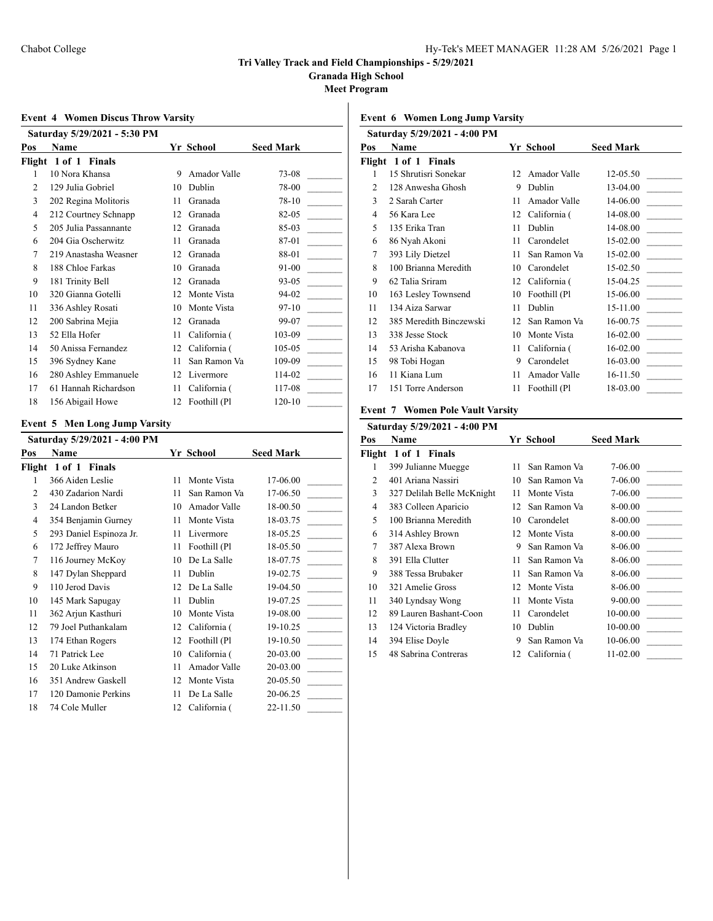**Granada High School**

**Meet Program**

### **Event 4 Women Discus Throw Varsity**

|        | Saturday 5/29/2021 - 5:30 PM |    |              |                  |
|--------|------------------------------|----|--------------|------------------|
| Pos    | <b>Name</b>                  |    | Yr School    | <b>Seed Mark</b> |
| Flight | 1 of 1 Finals                |    |              |                  |
| 1      | 10 Nora Khansa               | 9  | Amador Valle | 73-08            |
| 2      | 129 Julia Gobriel            | 10 | Dublin       | 78-00            |
| 3      | 202 Regina Molitoris         | 11 | Granada      | 78-10            |
| 4      | 212 Courtney Schnapp         | 12 | Granada      | 82-05            |
| 5      | 205 Julia Passannante        | 12 | Granada      | 85-03            |
| 6      | 204 Gia Oscherwitz           | 11 | Granada      | 87-01            |
| 7      | 219 Anastasha Weasner        | 12 | Granada      | 88-01            |
| 8      | 188 Chloe Farkas             | 10 | Granada      | 91-00            |
| 9      | 181 Trinity Bell             | 12 | Granada      | $93 - 05$        |
| 10     | 320 Gianna Gotelli           | 12 | Monte Vista  | 94-02            |
| 11     | 336 Ashley Rosati            | 10 | Monte Vista  | $97-10$          |
| 12     | 200 Sabrina Mejia            | 12 | Granada      | 99-07            |
| 13     | 52 Ella Hofer                | 11 | California ( | 103-09           |
| 14     | 50 Anissa Fernandez          | 12 | California ( | 105-05           |
| 15     | 396 Sydney Kane              | 11 | San Ramon Va | 109-09           |
| 16     | 280 Ashley Emmanuele         | 12 | Livermore    | 114-02           |
| 17     | 61 Hannah Richardson         | 11 | California ( | 117-08           |
| 18     | 156 Abigail Howe             | 12 | Foothill (Pl | 120-10           |

#### **Event 5 Men Long Jump Varsity**

| Saturday 5/29/2021 - 4:00 PM |                         |    |              |                  |
|------------------------------|-------------------------|----|--------------|------------------|
| Pos                          | Name                    |    | Yr School    | <b>Seed Mark</b> |
| Flight                       | 1 of 1 Finals           |    |              |                  |
| 1                            | 366 Aiden Leslie        | 11 | Monte Vista  | 17-06.00         |
| 2                            | 430 Zadarion Nardi      | 11 | San Ramon Va | 17-06.50         |
| 3                            | 24 Landon Betker        | 10 | Amador Valle | 18-00.50         |
| 4                            | 354 Benjamin Gurney     | 11 | Monte Vista  | 18-03.75         |
| 5                            | 293 Daniel Espinoza Jr. | 11 | Livermore    | 18-05.25         |
| 6                            | 172 Jeffrey Mauro       | 11 | Foothill (Pl | 18-05.50         |
| 7                            | 116 Journey McKoy       | 10 | De La Salle  | 18-07.75         |
| 8                            | 147 Dylan Sheppard      | 11 | Dublin       | 19-02.75         |
| 9                            | 110 Jerod Davis         | 12 | De La Salle  | 19-04.50         |
| 10                           | 145 Mark Sapugay        | 11 | Dublin       | 19-07.25         |
| 11                           | 362 Arjun Kasthuri      | 10 | Monte Vista  | 19-08.00         |
| 12                           | 79 Joel Puthankalam     | 12 | California ( | 19-10.25         |
| 13                           | 174 Ethan Rogers        | 12 | Foothill (Pl | 19-10.50         |
| 14                           | 71 Patrick Lee          | 10 | California ( | 20-03.00         |
| 15                           | 20 Luke Atkinson        | 11 | Amador Valle | 20-03.00         |
| 16                           | 351 Andrew Gaskell      | 12 | Monte Vista  | 20-05.50         |
| 17                           | 120 Damonie Perkins     | 11 | De La Salle  | 20-06.25         |
| 18                           | 74 Cole Muller          | 12 | California ( | 22-11.50         |

# **Event 6 Women Long Jump Varsity**

|                             | Saturday 5/29/2021 - 4:00 PM |    |               |                  |
|-----------------------------|------------------------------|----|---------------|------------------|
| Pos                         | <b>Name</b>                  |    | Yr School     | <b>Seed Mark</b> |
|                             | Flight 1 of 1 Finals         |    |               |                  |
| 1                           | 15 Shrutisri Sonekar         | 12 | Amador Valle  | 12-05.50         |
| $\mathcal{D}_{\mathcal{L}}$ | 128 Anwesha Ghosh            | 9  | Dublin        | 13-04.00         |
| 3                           | 2 Sarah Carter               | 11 | Amador Valle  | 14-06.00         |
| 4                           | 56 Kara Lee                  | 12 | California (  | 14-08.00         |
| 5                           | 135 Erika Tran               | 11 | Dublin        | 14-08.00         |
| 6                           | 86 Nyah Akoni                | 11 | Carondelet    | 15-02.00         |
| 7                           | 393 Lily Dietzel             | 11 | San Ramon Va  | 15-02.00         |
| 8                           | 100 Brianna Meredith         | 10 | Carondelet    | 15-02.50         |
| 9                           | 62 Talia Sriram              | 12 | California (  | 15-04.25         |
| 10                          | 163 Lesley Townsend          | 10 | Foothill (Pl  | 15-06.00         |
| 11                          | 134 Aiza Sarwar              | 11 | <b>Dublin</b> | 15-11.00         |
| 12                          | 385 Meredith Binczewski      | 12 | San Ramon Va  | 16-00.75         |
| 13                          | 338 Jesse Stock              | 10 | Monte Vista   | 16-02.00         |
| 14                          | 53 Arisha Kabanova           | 11 | California (  | 16-02.00         |
| 15                          | 98 Tobi Hogan                | 9  | Carondelet    | 16-03.00         |
| 16                          | 11 Kiana Lum                 | 11 | Amador Valle  | 16-11.50         |
| 17                          | 151 Torre Anderson           | 11 | Foothill (Pl  | 18-03.00         |
|                             |                              |    |               |                  |

### **Event 7 Women Pole Vault Varsity**

| Saturday 5/29/2021 - 4:00 PM |                                |    |               |                  |  |
|------------------------------|--------------------------------|----|---------------|------------------|--|
| Pos                          | <b>Name</b>                    |    | Yr School     | <b>Seed Mark</b> |  |
|                              | Flight 1 of 1<br><b>Finals</b> |    |               |                  |  |
| 1                            | 399 Julianne Muegge            | 11 | San Ramon Va  | 7-06.00          |  |
| $\mathcal{D}_{\mathcal{L}}$  | 401 Ariana Nassiri             | 10 | San Ramon Va  | 7-06.00          |  |
| 3                            | 327 Delilah Belle McKnight     | 11 | Monte Vista   | 7-06.00          |  |
| 4                            | 383 Colleen Aparicio           | 12 | San Ramon Va  | 8-00.00          |  |
| 5                            | 100 Brianna Meredith           | 10 | Carondelet    | 8-00.00          |  |
| 6                            | 314 Ashley Brown               | 12 | Monte Vista   | 8-00.00          |  |
| 7                            | 387 Alexa Brown                | 9  | San Ramon Va  | 8-06.00          |  |
| 8                            | 391 Ella Clutter               | 11 | San Ramon Va  | 8-06.00          |  |
| 9                            | 388 Tessa Brubaker             | 11 | San Ramon Va  | 8-06.00          |  |
| 10                           | 321 Amelie Gross               | 12 | Monte Vista   | 8-06.00          |  |
| 11                           | 340 Lyndsay Wong               | 11 | Monte Vista   | $9 - 00.00$      |  |
| 12                           | 89 Lauren Bashant-Coon         | 11 | Carondelet    | 10-00.00         |  |
| 13                           | 124 Victoria Bradley           | 10 | <b>Dublin</b> | 10-00.00         |  |
| 14                           | 394 Elise Doyle                | 9  | San Ramon Va  | 10-06.00         |  |
| 15                           | 48 Sabrina Contreras           | 12 | California (  | $11-02.00$       |  |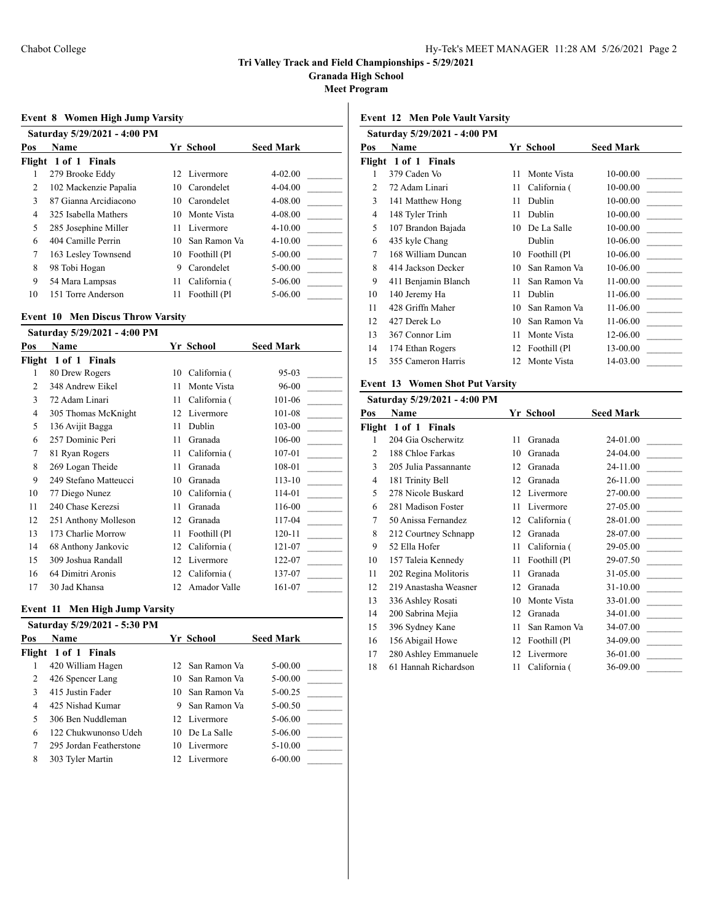**Granada High School**

**Meet Program**

### **Event 8 Women High Jump Varsity**

|     | Saturday 5/29/2021 - 4:00 PM |    |                 |                  |
|-----|------------------------------|----|-----------------|------------------|
| Pos | <b>Name</b>                  |    | Yr School       | <b>Seed Mark</b> |
|     | Flight 1 of 1 Finals         |    |                 |                  |
|     | 279 Brooke Eddy              |    | 12 Livermore    | $4 - 02.00$      |
| 2   | 102 Mackenzie Papalia        | 10 | Carondelet      | $4 - 04.00$      |
| 3   | 87 Gianna Arcidiacono        | 10 | Carondelet      | 4-08.00          |
| 4   | 325 Isabella Mathers         |    | 10 Monte Vista  | 4-08.00          |
| 5   | 285 Josephine Miller         | 11 | Livermore       | $4 - 10.00$      |
| 6   | 404 Camille Perrin           | 10 | San Ramon Va    | $4 - 10.00$      |
| 7   | 163 Lesley Townsend          |    | 10 Foothill (Pl | $5 - 00.00$      |
| 8   | 98 Tobi Hogan                | 9  | Carondelet      | $5 - 00.00$      |
| 9   | 54 Mara Lampsas              | 11 | California (    | 5-06.00          |
| 10  | 151 Torre Anderson           | 11 | Foothill (Pl    | 5-06.00          |

#### **Event 10 Men Discus Throw Varsity**

|        | Saturday 5/29/2021 - 4:00 PM |    |              |                  |
|--------|------------------------------|----|--------------|------------------|
| Pos    | Name                         |    | Yr School    | <b>Seed Mark</b> |
| Flight | 1 of 1 Finals                |    |              |                  |
| 1      | 80 Drew Rogers               | 10 | California ( | 95-03            |
| 2      | 348 Andrew Eikel             | 11 | Monte Vista  | 96-00            |
| 3      | 72 Adam Linari               | 11 | California ( | 101-06           |
| 4      | 305 Thomas McKnight          | 12 | Livermore    | 101-08           |
| 5      | 136 Avijit Bagga             | 11 | Dublin       | 103-00           |
| 6      | 257 Dominic Peri             | 11 | Granada      | 106-00           |
| 7      | 81 Ryan Rogers               | 11 | California ( | 107-01           |
| 8      | 269 Logan Theide             | 11 | Granada      | 108-01           |
| 9      | 249 Stefano Matteucci        | 10 | Granada      | $113 - 10$       |
| 10     | 77 Diego Nunez               | 10 | California ( | 114-01           |
| 11     | 240 Chase Kerezsi            | 11 | Granada      | 116-00           |
| 12     | 251 Anthony Molleson         | 12 | Granada      | 117-04           |
| 13     | 173 Charlie Morrow           | 11 | Foothill (Pl | 120-11           |
| 14     | 68 Anthony Jankovic          | 12 | California ( | 121-07           |
| 15     | 309 Joshua Randall           | 12 | Livermore    | 122-07           |
| 16     | 64 Dimitri Aronis            | 12 | California ( | 137-07           |
| 17     | 30 Jad Khansa                | 12 | Amador Valle | 161-07           |

### **Event 11 Men High Jump Varsity**

|     | Saturday 5/29/2021 - 5:30 PM |     |                 |                  |  |
|-----|------------------------------|-----|-----------------|------------------|--|
| Pos | <b>Name</b>                  |     | Yr School       | <b>Seed Mark</b> |  |
|     | Flight 1 of 1 Finals         |     |                 |                  |  |
|     | 420 William Hagen            |     | 12 San Ramon Va | $5-00.00$        |  |
|     | 426 Spencer Lang             |     | 10 San Ramon Va | $5 - 00.00$      |  |
|     | 415 Justin Fader             |     | 10 San Ramon Va | $5-00.25$        |  |
| 4   | 425 Nishad Kumar             | 9   | San Ramon Va    | $5-00.50$        |  |
| 5   | 306 Ben Nuddleman            |     | 12 Livermore    | 5-06.00          |  |
| 6   | 122 Chukwunonso Udeh         |     | 10 De La Salle  | 5-06.00          |  |
|     | 295 Jordan Featherstone      |     | 10 Livermore    | $5 - 10.00$      |  |
| 8   | 303 Tyler Martin             | 12. | Livermore       | $6 - 00.00$      |  |

# **Event 12 Men Pole Vault Varsity**

|        | Saturday 5/29/2021 - 4:00 PM |    |               |                  |
|--------|------------------------------|----|---------------|------------------|
| Pos    | Name                         |    | Yr School     | <b>Seed Mark</b> |
| Flight | 1 of 1 Finals                |    |               |                  |
| 1      | 379 Caden Vo                 | 11 | Monte Vista   | 10-00.00         |
| 2      | 72 Adam Linari               | 11 | California (  | 10-00.00         |
| 3      | 141 Matthew Hong             | 11 | Dublin        | 10-00.00         |
| 4      | 148 Tyler Trinh              | 11 | Dublin        | 10-00.00         |
| 5      | 107 Brandon Bajada           | 10 | De La Salle   | 10-00.00         |
| 6      | 435 kyle Chang               |    | Dublin        | 10-06.00         |
| 7      | 168 William Duncan           | 10 | Foothill (Pl  | 10-06.00         |
| 8      | 414 Jackson Decker           | 10 | San Ramon Va  | 10-06.00         |
| 9      | 411 Benjamin Blanch          | 11 | San Ramon Va  | 11-00.00         |
| 10     | 140 Jeremy Ha                | 11 | <b>Dublin</b> | 11-06.00         |
| 11     | 428 Griffn Maher             | 10 | San Ramon Va  | 11-06.00         |
| 12     | 427 Derek Lo                 | 10 | San Ramon Va  | 11-06.00         |
| 13     | 367 Connor Lim               | 11 | Monte Vista   | 12-06.00         |
| 14     | 174 Ethan Rogers             | 12 | Foothill (Pl  | 13-00.00         |
| 15     | 355 Cameron Harris           | 12 | Monte Vista   | 14-03.00         |
|        |                              |    |               |                  |

# **Event 13 Women Shot Put Varsity**

|                | Saturday 5/29/2021 - 4:00 PM |    |              |                  |
|----------------|------------------------------|----|--------------|------------------|
| Pos            | <b>Name</b>                  |    | Yr School    | <b>Seed Mark</b> |
|                | Flight 1 of 1 Finals         |    |              |                  |
| 1              | 204 Gia Oscherwitz           | 11 | Granada      | 24-01.00         |
| $\overline{c}$ | 188 Chloe Farkas             | 10 | Granada      | 24-04.00         |
| 3              | 205 Julia Passannante        | 12 | Granada      | 24-11.00         |
| 4              | 181 Trinity Bell             | 12 | Granada      | 26-11.00         |
| 5              | 278 Nicole Buskard           | 12 | Livermore    | 27-00.00         |
| 6              | 281 Madison Foster           | 11 | Livermore    | 27-05.00         |
| 7              | 50 Anissa Fernandez          | 12 | California ( | 28-01.00         |
| 8              | 212 Courtney Schnapp         | 12 | Granada      | 28-07.00         |
| 9              | 52 Ella Hofer                | 11 | California ( | 29-05.00         |
| 10             | 157 Taleia Kennedy           | 11 | Foothill (Pl | 29-07.50         |
| 11             | 202 Regina Molitoris         | 11 | Granada      | 31-05.00         |
| 12             | 219 Anastasha Weasner        | 12 | Granada      | 31-10.00         |
| 13             | 336 Ashley Rosati            | 10 | Monte Vista  | 33-01.00         |
| 14             | 200 Sabrina Mejia            | 12 | Granada      | 34-01.00         |
| 15             | 396 Sydney Kane              | 11 | San Ramon Va | 34-07.00         |
| 16             | 156 Abigail Howe             | 12 | Foothill (Pl | 34-09.00         |
| 17             | 280 Ashley Emmanuele         | 12 | Livermore    | 36-01.00         |
| 18             | 61 Hannah Richardson         | 11 | California ( | 36-09.00         |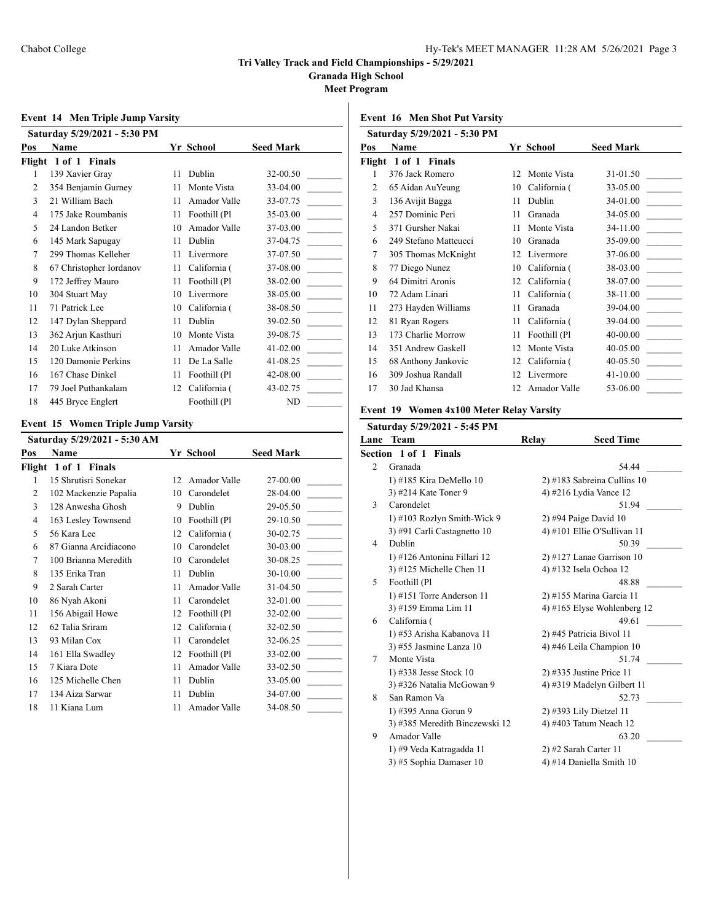**Granada High School**

**Meet Program**

### **Event 14 Men Triple Jump Varsity**

|                | Saturday 5/29/2021 - 5:30 PM |    |              |                  |
|----------------|------------------------------|----|--------------|------------------|
| Pos            | Name                         |    | Yr School    | <b>Seed Mark</b> |
|                | Flight 1 of 1 Finals         |    |              |                  |
| 1              | 139 Xavier Gray              | 11 | Dublin       | 32-00.50         |
| $\overline{c}$ | 354 Benjamin Gurney          | 11 | Monte Vista  | 33-04.00         |
| 3              | 21 William Bach              | 11 | Amador Valle | 33-07.75         |
| 4              | 175 Jake Roumbanis           | 11 | Foothill (Pl | 35-03.00         |
| 5              | 24 Landon Betker             | 10 | Amador Valle | 37-03.00         |
| 6              | 145 Mark Sapugay             | 11 | Dublin       | 37-04.75         |
| 7              | 299 Thomas Kelleher          | 11 | Livermore    | 37-07.50         |
| 8              | 67 Christopher Iordanov      | 11 | California ( | 37-08.00         |
| 9              | 172 Jeffrey Mauro            | 11 | Foothill (Pl | 38-02.00         |
| 10             | 304 Stuart May               | 10 | Livermore    | 38-05.00         |
| 11             | 71 Patrick Lee               | 10 | California ( | 38-08.50         |
| 12             | 147 Dylan Sheppard           | 11 | Dublin       | 39-02.50         |
| 13             | 362 Arjun Kasthuri           | 10 | Monte Vista  | 39-08.75         |
| 14             | 20 Luke Atkinson             | 11 | Amador Valle | $41 - 02.00$     |
| 15             | 120 Damonie Perkins          | 11 | De La Salle  | 41-08.25         |
| 16             | 167 Chase Dinkel             | 11 | Foothill (Pl | 42-08.00         |
| 17             | 79 Joel Puthankalam          | 12 | California ( | 43-02.75         |
| 18             | 445 Bryce Englert            |    | Foothill (Pl | ND               |

### **Event 15 Women Triple Jump Varsity**

|        | Saturday 5/29/2021 - 5:30 AM |    |              |                  |
|--------|------------------------------|----|--------------|------------------|
| Pos    | Name                         |    | Yr School    | <b>Seed Mark</b> |
| Flight | 1 of 1 Finals                |    |              |                  |
| 1      | 15 Shrutisri Sonekar         | 12 | Amador Valle | 27-00.00         |
| 2      | 102 Mackenzie Papalia        | 10 | Carondelet   | 28-04.00         |
| 3      | 128 Anwesha Ghosh            | 9  | Dublin       | 29-05.50         |
| 4      | 163 Lesley Townsend          | 10 | Foothill (Pl | 29-10.50         |
| 5      | 56 Kara Lee                  | 12 | California ( | 30-02.75         |
| 6      | 87 Gianna Arcidiacono        | 10 | Carondelet   | 30-03.00         |
| 7      | 100 Brianna Meredith         | 10 | Carondelet   | 30-08.25         |
| 8      | 135 Erika Tran               | 11 | Dublin       | 30-10.00         |
| 9      | 2 Sarah Carter               | 11 | Amador Valle | 31-04.50         |
| 10     | 86 Nyah Akoni                | 11 | Carondelet   | 32-01.00         |
| 11     | 156 Abigail Howe             | 12 | Foothill (Pl | 32-02.00         |
| 12     | 62 Talia Sriram              | 12 | California ( | 32-02.50         |
| 13     | 93 Milan Cox                 | 11 | Carondelet   | 32-06.25         |
| 14     | 161 Ella Swadley             | 12 | Foothill (Pl | 33-02.00         |
| 15     | 7 Kiara Dote                 | 11 | Amador Valle | 33-02.50         |
| 16     | 125 Michelle Chen            | 11 | Dublin       | 33-05.00         |
| 17     | 134 Aiza Sarwar              | 11 | Dublin       | 34-07.00         |
| 18     | 11 Kiana Lum                 | 11 | Amador Valle | 34-08.50         |

# **Event 16 Men Shot Put Varsity**

|                | Saturday 5/29/2021 - 5:30 PM |    |              |                  |
|----------------|------------------------------|----|--------------|------------------|
| Pos            | Name                         |    | Yr School    | <b>Seed Mark</b> |
| Flight         | 1 of 1 Finals                |    |              |                  |
| 1              | 376 Jack Romero              | 12 | Monte Vista  | 31-01.50         |
| $\mathfrak{D}$ | 65 Aidan AuYeung             | 10 | California ( | 33-05.00         |
| 3              | 136 Avijit Bagga             | 11 | Dublin       | 34-01.00         |
| 4              | 257 Dominic Peri             | 11 | Granada      | 34-05.00         |
| 5              | 371 Gursher Nakai            | 11 | Monte Vista  | 34-11.00         |
| 6              | 249 Stefano Matteucci        | 10 | Granada      | 35-09.00         |
| 7              | 305 Thomas McKnight          | 12 | Livermore    | 37-06.00         |
| 8              | 77 Diego Nunez               | 10 | California ( | 38-03.00         |
| 9              | 64 Dimitri Aronis            | 12 | California ( | 38-07.00         |
| 10             | 72 Adam Linari               | 11 | California ( | 38-11.00         |
| 11             | 273 Hayden Williams          | 11 | Granada      | 39-04.00         |
| 12             | 81 Ryan Rogers               | 11 | California ( | 39-04.00         |
| 13             | 173 Charlie Morrow           | 11 | Foothill (Pl | 40-00.00         |
| 14             | 351 Andrew Gaskell           | 12 | Monte Vista  | 40-05.00         |
| 15             | 68 Anthony Jankovic          | 12 | California ( | 40-05.50         |
| 16             | 309 Joshua Randall           | 12 | Livermore    | 41-10.00         |
| 17             | 30 Jad Khansa                | 12 | Amador Valle | 53-06.00         |
|                |                              |    |              |                  |

### **Event 19 Women 4x100 Meter Relay Varsity**

|      | Saturday 5/29/2021 - 5:45 PM   |                          |                               |  |  |
|------|--------------------------------|--------------------------|-------------------------------|--|--|
| Lane | <b>Team</b>                    | Relay                    | <b>Seed Time</b>              |  |  |
|      | Section 1 of 1 Finals          |                          |                               |  |  |
| 2    | Granada                        |                          | 54.44                         |  |  |
|      | 1) #185 Kira DeMello 10        |                          | 2) #183 Sabreina Cullins 10   |  |  |
|      | 3) #214 Kate Toner 9           | 4) #216 Lydia Vance 12   |                               |  |  |
| 3    | Carondelet                     |                          | 51.94                         |  |  |
|      | 1) #103 Rozlyn Smith-Wick 9    |                          | $2)$ #94 Paige David 10       |  |  |
|      | 3) #91 Carli Castagnetto 10    |                          | 4) #101 Ellie O'Sullivan 11   |  |  |
| 4    | Dublin                         |                          | 50.39                         |  |  |
|      | 1) #126 Antonina Fillari 12    |                          | $2)$ #127 Lanae Garrison 10   |  |  |
|      | 3) #125 Michelle Chen 11       |                          | 4) #132 Isela Ochoa 12        |  |  |
| 5    | Foothill (Pl                   |                          | 48.88                         |  |  |
|      | 1) #151 Torre Anderson 11      | 2) #155 Marina Garcia 11 |                               |  |  |
|      | 3) #159 Emma Lim 11            |                          | 4) #165 Elyse Wohlenberg $12$ |  |  |
| 6    | California (                   |                          | 49.61                         |  |  |
|      | 1) #53 Arisha Kabanova 11      |                          | 2) #45 Patricia Bivol 11      |  |  |
|      | 3) #55 Jasmine Lanza 10        |                          | 4) #46 Leila Champion 10      |  |  |
| 7    | Monte Vista                    |                          | 51.74                         |  |  |
|      | 1) #338 Jesse Stock 10         |                          | $2)$ #335 Justine Price 11    |  |  |
|      | 3) #326 Natalia McGowan 9      |                          | 4) #319 Madelyn Gilbert 11    |  |  |
| 8    | San Ramon Va                   |                          | 52.73                         |  |  |
|      | 1) #395 Anna Gorun 9           |                          | 2) #393 Lily Dietzel 11       |  |  |
|      | 3) #385 Meredith Binczewski 12 |                          | 4) #403 Tatum Neach 12        |  |  |
| 9    | Amador Valle                   |                          | 63.20                         |  |  |
|      | 1) #9 Veda Katragadda 11       |                          | 2) #2 Sarah Carter 11         |  |  |
|      | 3) #5 Sophia Damaser 10        |                          | 4) #14 Daniella Smith 10      |  |  |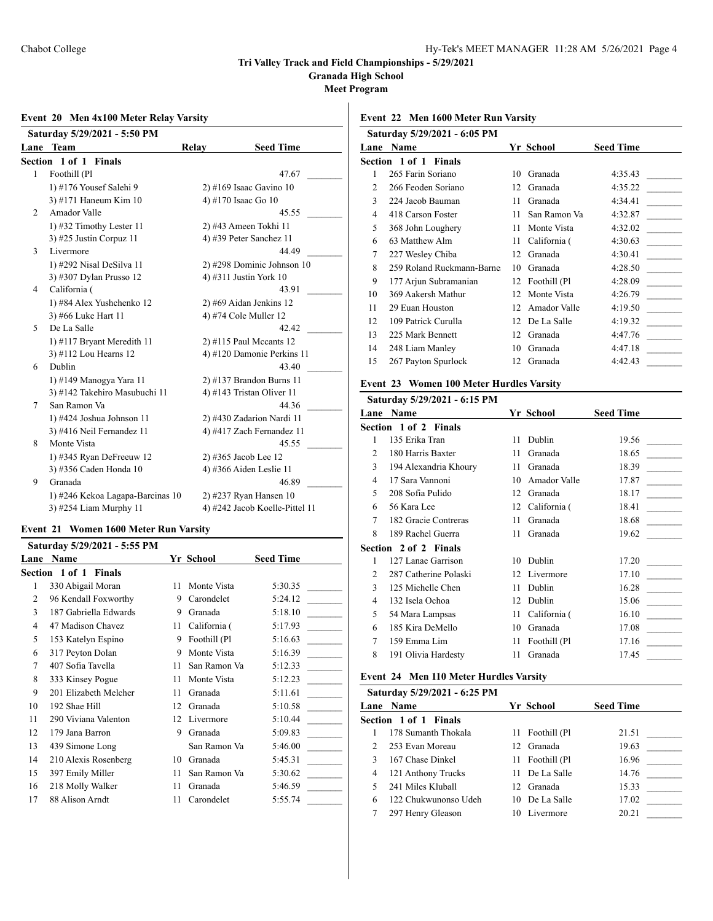**Granada High School**

**Meet Program**

### **Event 20 Men 4x100 Meter Relay Varsity**

|   | Saturday 5/29/2021 - 5:50 PM     |       |                                |
|---|----------------------------------|-------|--------------------------------|
|   | Lane Team                        | Relay | <b>Seed Time</b>               |
|   | Section 1 of 1 Finals            |       |                                |
| 1 | Foothill (Pl                     |       | 47.67                          |
|   | 1) #176 Yousef Salehi 9          |       | $2)$ #169 Isaac Gavino 10      |
|   | 3) #171 Haneum Kim 10            |       | 4) #170 Isaac Go 10            |
| 2 | Amador Valle                     |       | 45.55                          |
|   | 1) #32 Timothy Lester 11         |       | 2) #43 Ameen Tokhi 11          |
|   | 3) #25 Justin Corpuz 11          |       | 4) #39 Peter Sanchez 11        |
| 3 | Livermore                        |       | 44.49                          |
|   | 1) #292 Nisal DeSilva 11         |       | 2) #298 Dominic Johnson 10     |
|   | 3) #307 Dylan Prusso 12          |       | 4) #311 Justin York 10         |
| 4 | California (                     |       | 43.91                          |
|   | 1) #84 Alex Yushchenko 12        |       | 2) #69 Aidan Jenkins 12        |
|   | 3) #66 Luke Hart 11              |       | 4) #74 Cole Muller 12          |
| 5 | De La Salle                      |       | 42.42                          |
|   | 1) #117 Bryant Meredith 11       |       | $2)$ #115 Paul Mccants 12      |
|   | 3) #112 Lou Hearns 12            |       | 4) #120 Damonie Perkins 11     |
| 6 | Dublin                           |       | 43.40                          |
|   | 1) #149 Manogya Yara 11          |       | 2) #137 Brandon Burns 11       |
|   | 3) #142 Takehiro Masubuchi 11    |       | 4) #143 Tristan Oliver 11      |
| 7 | San Ramon Va                     |       | 44.36                          |
|   | 1) #424 Joshua Johnson 11        |       | 2) #430 Zadarion Nardi 11      |
|   | 3) #416 Neil Fernandez 11        |       | 4) #417 Zach Fernandez 11      |
| 8 | Monte Vista                      |       | 45.55                          |
|   | 1) #345 Ryan DeFreeuw $12$       |       | 2) #365 Jacob Lee 12           |
|   | 3) #356 Caden Honda 10           |       | 4) #366 Aiden Leslie 11        |
| 9 | Granada                          |       | 46.89                          |
|   | 1) #246 Kekoa Lagapa-Barcinas 10 |       | 2) #237 Ryan Hansen 10         |
|   | 3) #254 Liam Murphy 11           |       | 4) #242 Jacob Koelle-Pittel 11 |

### **Event 21 Women 1600 Meter Run Varsity**

|      | Saturday 5/29/2021 - 5:55 PM    |    |              |                  |
|------|---------------------------------|----|--------------|------------------|
| Lane | Name                            |    | Yr School    | <b>Seed Time</b> |
|      | Section 1 of 1<br><b>Finals</b> |    |              |                  |
| 1    | 330 Abigail Moran               | 11 | Monte Vista  | 5:30.35          |
| 2    | 96 Kendall Foxworthy            | 9  | Carondelet   | 5:24.12          |
| 3    | 187 Gabriella Edwards           | 9  | Granada      | 5:18.10          |
| 4    | 47 Madison Chavez               | 11 | California ( | 5:17.93          |
| 5    | 153 Katelyn Espino              | 9  | Foothill (Pl | 5:16.63          |
| 6    | 317 Peyton Dolan                | 9  | Monte Vista  | 5:16.39          |
| 7    | 407 Sofia Tavella               | 11 | San Ramon Va | 5:12.33          |
| 8    | 333 Kinsey Pogue                | 11 | Monte Vista  | 5:12.23          |
| 9    | 201 Elizabeth Melcher           | 11 | Granada      | 5:11.61          |
| 10   | 192 Shae Hill                   | 12 | Granada      | 5:10.58          |
| 11   | 290 Viviana Valenton            | 12 | Livermore    | 5:10.44          |
| 12   | 179 Jana Barron                 | 9  | Granada      | 5:09.83          |
| 13   | 439 Simone Long                 |    | San Ramon Va | 5:46.00          |
| 14   | 210 Alexis Rosenberg            | 10 | Granada      | 5:45.31          |
| 15   | 397 Emily Miller                | 11 | San Ramon Va | 5:30.62          |
| 16   | 218 Molly Walker                | 11 | Granada      | 5:46.59          |
| 17   | 88 Alison Arndt                 | 11 | Carondelet   | 5:55.74          |
|      |                                 |    |              |                  |

**Event 22 Men 1600 Meter Run Varsity**

| Saturday 5/29/2021 - 6:05 PM |                              |    |              |                  |  |
|------------------------------|------------------------------|----|--------------|------------------|--|
| Lane                         | <b>Name</b>                  |    | Yr School    | <b>Seed Time</b> |  |
|                              | <b>Section 1 of 1 Finals</b> |    |              |                  |  |
| 1                            | 265 Farin Soriano            | 10 | Granada      | 4:35.43          |  |
| 2                            | 266 Feoden Soriano           | 12 | Granada      | 4:35.22          |  |
| 3                            | 224 Jacob Bauman             | 11 | Granada      | 4:34.41          |  |
| 4                            | 418 Carson Foster            | 11 | San Ramon Va | 4:32.87          |  |
| 5                            | 368 John Loughery            | 11 | Monte Vista  | 4:32.02          |  |
| 6                            | 63 Matthew Alm               | 11 | California ( | 4:30.63          |  |
| 7                            | 227 Wesley Chiba             | 12 | Granada      | 4:30.41          |  |
| 8                            | 259 Roland Ruckmann-Barne:   | 10 | Granada      | 4:28.50          |  |
| 9                            | 177 Arjun Subramanian        | 12 | Foothill (Pl | 4:28.09          |  |
| 10                           | 369 Aakersh Mathur           | 12 | Monte Vista  | 4:26.79          |  |
| 11                           | 29 Euan Houston              | 12 | Amador Valle | 4:19.50          |  |
| 12                           | 109 Patrick Curulla          | 12 | De La Salle  | 4:19.32          |  |
| 13                           | 225 Mark Bennett             | 12 | Granada      | 4:47.76          |  |
| 14                           | 248 Liam Manley              | 10 | Granada      | 4:47.18          |  |
| 15                           | 267 Payton Spurlock          | 12 | Granada      | 4:42.43          |  |
|                              |                              |    |              |                  |  |

# **Event 23 Women 100 Meter Hurdles Varsity**

|   | Saturday 5/29/2021 - 6:15 PM |    |              |                  |
|---|------------------------------|----|--------------|------------------|
|   | <b>Lane Name</b>             |    | Yr School    | <b>Seed Time</b> |
|   | <b>Section 1 of 2 Finals</b> |    |              |                  |
| 1 | 135 Erika Tran               | 11 | Dublin       | 19.56            |
| 2 | 180 Harris Baxter            | 11 | Granada      | 18.65            |
| 3 | 194 Alexandria Khoury        | 11 | Granada      | 18.39            |
| 4 | 17 Sara Vannoni              | 10 | Amador Valle | 17.87            |
| 5 | 208 Sofia Pulido             | 12 | Granada      | 18.17            |
| 6 | 56 Kara Lee                  | 12 | California ( | 18.41            |
| 7 | 182 Gracie Contreras         | 11 | Granada      | 18.68            |
| 8 | 189 Rachel Guerra            | 11 | Granada      | 19.62            |
|   | Section 2 of 2 Finals        |    |              |                  |
| 1 | 127 Lanae Garrison           | 10 | Dublin       | 17.20            |
| 2 | 287 Catherine Polaski        | 12 | Livermore    | 17.10            |
| 3 | 125 Michelle Chen            | 11 | Dublin       | 16.28            |
| 4 | 132 Isela Ochoa              | 12 | Dublin       | 15.06            |
| 5 | 54 Mara Lampsas              | 11 | California ( | 16.10            |
| 6 | 185 Kira DeMello             | 10 | Granada      | 17.08            |
| 7 | 159 Emma Lim                 | 11 | Foothill (Pl | 17.16            |
| 8 | 191 Olivia Hardesty          | 11 | Granada      | 17.45            |
|   |                              |    |              |                  |

### **Event 24 Men 110 Meter Hurdles Varsity**

# **Saturday 5/29/2021 - 6:25 PM**

|             | <b>Lane Name</b>             | Yr School       | <b>Seed Time</b> |  |
|-------------|------------------------------|-----------------|------------------|--|
|             | <b>Section 1 of 1 Finals</b> |                 |                  |  |
|             | 178 Sumanth Thokala          | 11 Foothill (Pl | 21.51            |  |
| $2^{\circ}$ | 253 Evan Moreau              | 12 Granada      | 19.63            |  |
|             | 167 Chase Dinkel             | 11 Foothill (Pl | 16.96            |  |
| 4           | 121 Anthony Trucks           | 11 De La Salle  | 14.76            |  |
|             | 241 Miles Kluball            | 12 Granada      | 15.33            |  |
| 6           | 122 Chukwunonso Udeh         | 10 De La Salle  | 17.02            |  |
|             | 297 Henry Gleason            | Livermore       | 20.21            |  |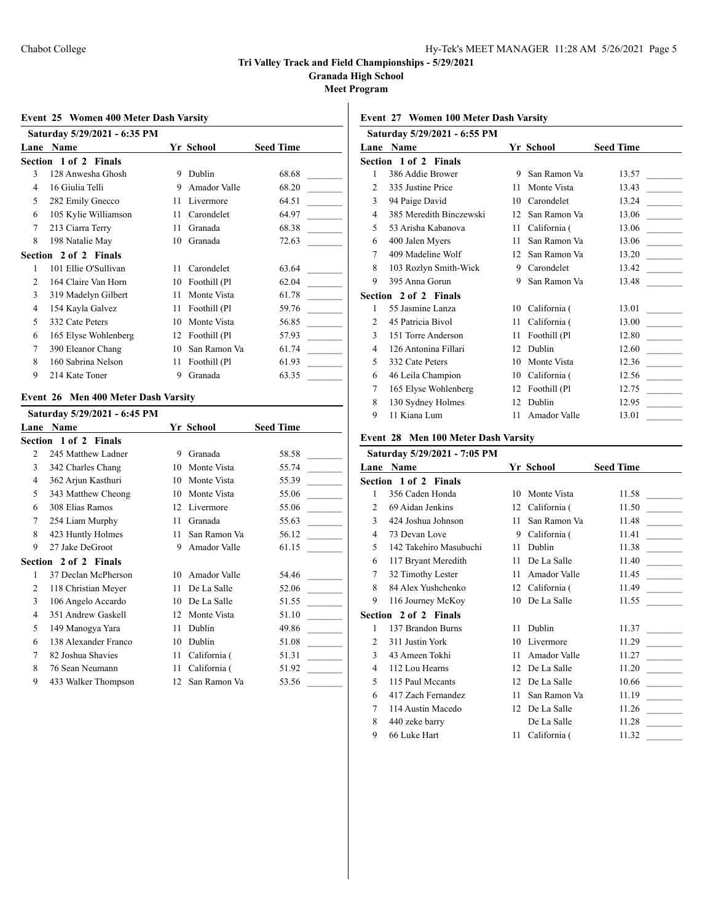**Granada High School**

**Meet Program**

### **Event 25 Women 400 Meter Dash Varsity**

|               | Saturday 5/29/2021 - 6:35 PM |    |              |                  |
|---------------|------------------------------|----|--------------|------------------|
| Lane          | Name                         |    | Yr School    | <b>Seed Time</b> |
|               | Section 1 of 2 Finals        |    |              |                  |
| 3             | 128 Anwesha Ghosh            | 9  | Dublin       | 68.68            |
| 4             | 16 Giulia Telli              | 9  | Amador Valle | 68.20            |
| 5             | 282 Emily Gnecco             | 11 | Livermore    | 64.51            |
| 6             | 105 Kylie Williamson         | 11 | Carondelet   | 64.97            |
| 7             | 213 Ciarra Terry             | 11 | Granada      | 68.38            |
| 8             | 198 Natalie May              | 10 | Granada      | 72.63            |
|               | Section 2 of 2 Finals        |    |              |                  |
| 1             | 101 Ellie O'Sullivan         | 11 | Carondelet   | 63.64            |
| $\mathcal{L}$ | 164 Claire Van Horn          | 10 | Foothill (Pl | 62.04            |
| 3             | 319 Madelyn Gilbert          | 11 | Monte Vista  | 61.78            |
| 4             | 154 Kayla Galvez             | 11 | Foothill (Pl | 59.76            |
| 5             | 332 Cate Peters              | 10 | Monte Vista  | 56.85            |
| 6             | 165 Elyse Wohlenberg         | 12 | Foothill (Pl | 57.93            |
| 7             | 390 Eleanor Chang            | 10 | San Ramon Va | 61.74            |
| 8             | 160 Sabrina Nelson           | 11 | Foothill (Pl | 61.93            |
| 9             | 214 Kate Toner               | 9  | Granada      | 63.35            |

#### **Event 26 Men 400 Meter Dash Varsity**

|      | Saturday 5/29/2021 - 6:45 PM |    |              |                  |
|------|------------------------------|----|--------------|------------------|
| Lane | Name                         |    | Yr School    | <b>Seed Time</b> |
|      | Section 1 of 2 Finals        |    |              |                  |
| 2    | 245 Matthew Ladner           | 9  | Granada      | 58.58            |
| 3    | 342 Charles Chang            | 10 | Monte Vista  | 55.74            |
| 4    | 362 Arjun Kasthuri           | 10 | Monte Vista  | 55.39            |
| 5    | 343 Matthew Cheong           | 10 | Monte Vista  | 55.06            |
| 6    | 308 Elias Ramos              | 12 | Livermore    | 55.06            |
| 7    | 254 Liam Murphy              | 11 | Granada      | 55.63            |
| 8    | 423 Huntly Holmes            | 11 | San Ramon Va | 56.12            |
| 9    | 27 Jake DeGroot              | 9  | Amador Valle | 61.15            |
|      | Section 2 of 2 Finals        |    |              |                  |
| 1    | 37 Declan McPherson          | 10 | Amador Valle | 54.46            |
| 2    | 118 Christian Meyer          | 11 | De La Salle  | 52.06            |
| 3    | 106 Angelo Accardo           | 10 | De La Salle  | 51.55            |
| 4    | 351 Andrew Gaskell           | 12 | Monte Vista  | 51.10            |
| 5    | 149 Manogya Yara             | 11 | Dublin       | 49.86            |
| 6    | 138 Alexander Franco         | 10 | Dublin       | 51.08            |
| 7    | 82 Joshua Shavies            | 11 | California ( | 51.31            |
| 8    | 76 Sean Neumann              | 11 | California ( | 51.92            |
| 9    | 433 Walker Thompson          | 12 | San Ramon Va | 53.56            |

# **Event 27 Women 100 Meter Dash Varsity**

|                             | Saturday 5/29/2021 - 6:55 PM |    |              |                  |
|-----------------------------|------------------------------|----|--------------|------------------|
|                             | <b>Lane Name</b>             |    | Yr School    | <b>Seed Time</b> |
|                             | <b>Section 1 of 2 Finals</b> |    |              |                  |
| 1                           | 386 Addie Brower             | 9  | San Ramon Va | 13.57            |
| 2                           | 335 Justine Price            | 11 | Monte Vista  | 13.43            |
| 3                           | 94 Paige David               | 10 | Carondelet   | 13.24            |
| 4                           | 385 Meredith Binczewski      | 12 | San Ramon Va | 13.06            |
| 5                           | 53 Arisha Kabanova           | 11 | California ( | 13.06            |
| 6                           | 400 Jalen Myers              | 11 | San Ramon Va | 13.06            |
| 7                           | 409 Madeline Wolf            | 12 | San Ramon Va | 13.20            |
| 8                           | 103 Rozlyn Smith-Wick        | 9  | Carondelet   | 13.42            |
| 9                           | 395 Anna Gorun               | 9  | San Ramon Va | 13.48            |
|                             | <b>Section 2 of 2 Finals</b> |    |              |                  |
| 1                           | 55 Jasmine Lanza             | 10 | California ( | 13.01            |
| $\mathcal{D}_{\mathcal{L}}$ | 45 Patricia Bivol            | 11 | California ( | 13.00            |
| 3                           | 151 Torre Anderson           | 11 | Foothill (Pl | 12.80            |
| 4                           | 126 Antonina Fillari         | 12 | Dublin       | 12.60            |
| 5                           | 332 Cate Peters              | 10 | Monte Vista  | 12.36            |
| 6                           | 46 Leila Champion            | 10 | California ( | 12.56            |
| 7                           | 165 Elyse Wohlenberg         | 12 | Foothill (Pl | 12.75            |
| 8                           | 130 Sydney Holmes            | 12 | Dublin       | 12.95            |
| 9                           | 11 Kiana Lum                 | 11 | Amador Valle | 13.01            |

### **Event 28 Men 100 Meter Dash Varsity**

|                | Saturday 5/29/2021 - 7:05 PM |      |                 |                  |
|----------------|------------------------------|------|-----------------|------------------|
| Lane           | <b>Name</b>                  |      | Yr School       | <b>Seed Time</b> |
|                | <b>Section 1 of 2 Finals</b> |      |                 |                  |
| 1              | 356 Caden Honda              | 10   | Monte Vista     | 11.58            |
| $\overline{c}$ | 69 Aidan Jenkins             | 12   | California (    | 11.50            |
| 3              | 424 Joshua Johnson           | 11   | San Ramon Va    | 11.48            |
| 4              | 73 Devan Love                | 9    | California (    | 11.41            |
| 5              | 142 Takehiro Masubuchi       | 11   | Dublin          | 11.38            |
| 6              | 117 Bryant Meredith          | 11   | De La Salle     | 11.40            |
| 7              | 32 Timothy Lester            | 11   | Amador Valle    | 11.45            |
| 8              | 84 Alex Yushchenko           |      | 12 California ( | 11.49            |
| 9              | 116 Journey McKoy            | 10   | De La Salle     | 11.55            |
|                | <b>Section 2 of 2 Finals</b> |      |                 |                  |
| 1              | 137 Brandon Burns            | 11   | Dublin          | 11.37            |
| 2              | 311 Justin York              | 10   | Livermore       | 11.29            |
| 3              | 43 Ameen Tokhi               | 11   | Amador Valle    | 11.27            |
| 4              | 112 Lou Hearns               | 12   | De La Salle     | 11.20            |
| 5              | 115 Paul Mccants             | 12   | De La Salle     | 10.66            |
| 6              | 417 Zach Fernandez           | 11   | San Ramon Va    | 11.19            |
| 7              | 114 Austin Macedo            | 12   | De La Salle     | 11.26            |
| 8              | 440 zeke barry               |      | De La Salle     | 11.28            |
| 9              | 66 Luke Hart                 | 11 - | California (    | 11.32            |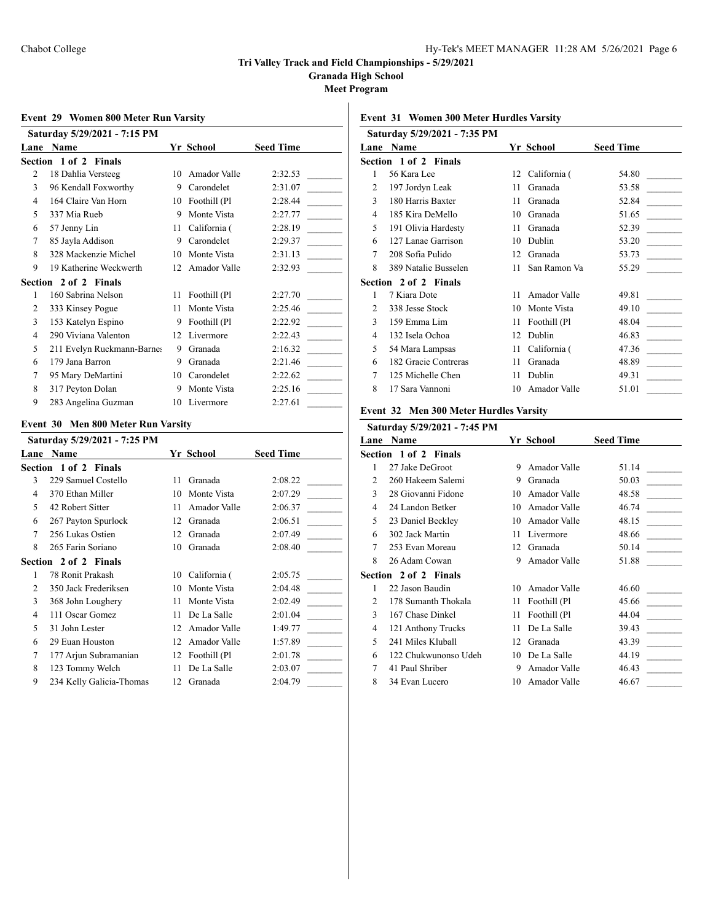**Granada High School**

**Meet Program**

### **Event 29 Women 800 Meter Run Varsity**

| Saturday 5/29/2021 - 7:15 PM |                            |    |              |                  |
|------------------------------|----------------------------|----|--------------|------------------|
|                              | Lane Name                  |    | Yr School    | <b>Seed Time</b> |
|                              | Section 1 of 2 Finals      |    |              |                  |
| 2                            | 18 Dahlia Versteeg         | 10 | Amador Valle | 2:32.53          |
| 3                            | 96 Kendall Foxworthy       | 9  | Carondelet   | 2:31.07          |
| 4                            | 164 Claire Van Horn        | 10 | Foothill (Pl | 2:28.44          |
| 5                            | 337 Mia Rueb               | 9  | Monte Vista  | 2:27.77          |
| 6                            | 57 Jenny Lin               | 11 | California ( | 2:28.19          |
| 7                            | 85 Jayla Addison           | 9  | Carondelet   | 2:29.37          |
| 8                            | 328 Mackenzie Michel       | 10 | Monte Vista  | 2:31.13          |
| 9                            | 19 Katherine Weckwerth     | 12 | Amador Valle | 2:32.93          |
|                              | Section 2 of 2 Finals      |    |              |                  |
| 1                            | 160 Sabrina Nelson         | 11 | Foothill (Pl | 2:27.70          |
| 2                            | 333 Kinsey Pogue           | 11 | Monte Vista  | 2:25.46          |
| 3                            | 153 Katelyn Espino         | 9  | Foothill (Pl | 2:22.92          |
| 4                            | 290 Viviana Valenton       | 12 | Livermore    | 2:22.43          |
| 5                            | 211 Evelyn Ruckmann-Barnes | 9  | Granada      | 2:16.32          |
| 6                            | 179 Jana Barron            | 9  | Granada      | 2:21.46          |
| 7                            | 95 Mary DeMartini          | 10 | Carondelet   | 2:22.62          |
| 8                            | 317 Peyton Dolan           | 9  | Monte Vista  | 2:25.16          |
| 9                            | 283 Angelina Guzman        | 10 | Livermore    | 2:27.61          |

### **Event 30 Men 800 Meter Run Varsity**

|      | Saturday 5/29/2021 - 7:25 PM |    |              |                  |
|------|------------------------------|----|--------------|------------------|
| Lane | Name                         |    | Yr School    | <b>Seed Time</b> |
|      | Section 1 of 2 Finals        |    |              |                  |
| 3    | 229 Samuel Costello          | 11 | Granada      | 2:08.22          |
| 4    | 370 Ethan Miller             | 10 | Monte Vista  | 2:07.29          |
| 5    | 42 Robert Sitter             | 11 | Amador Valle | 2:06.37          |
| 6    | 267 Payton Spurlock          | 12 | Granada      | 2:06.51          |
| 7    | 256 Lukas Ostien             | 12 | Granada      | 2:07.49          |
| 8    | 265 Farin Soriano            | 10 | Granada      | 2:08.40          |
|      | Section 2 of 2 Finals        |    |              |                  |
| 1    | 78 Ronit Prakash             | 10 | California ( | 2:05.75          |
| 2    | 350 Jack Frederiksen         | 10 | Monte Vista  | 2:04.48          |
| 3    | 368 John Loughery            | 11 | Monte Vista  | 2:02.49          |
| 4    | 111 Oscar Gomez              | 11 | De La Salle  | 2:01.04          |
| 5    | 31 John Lester               | 12 | Amador Valle | 1:49.77          |
| 6    | 29 Euan Houston              | 12 | Amador Valle | 1:57.89          |
| 7    | 177 Arjun Subramanian        | 12 | Foothill (Pl | 2:01.78          |
| 8    | 123 Tommy Welch              | 11 | De La Salle  | 2:03.07          |
| 9    | 234 Kelly Galicia-Thomas     | 12 | Granada      | 2:04.79          |

### **Event 31 Women 300 Meter Hurdles Varsity**

|                | Saturday 5/29/2021 - 7:35 PM |    |              |                  |
|----------------|------------------------------|----|--------------|------------------|
|                | Lane Name                    |    | Yr School    | <b>Seed Time</b> |
|                | Section 1 of 2 Finals        |    |              |                  |
| 1              | 56 Kara Lee                  | 12 | California ( | 54.80            |
| $\overline{2}$ | 197 Jordyn Leak              | 11 | Granada      | 53.58            |
| 3              | 180 Harris Baxter            | 11 | Granada      | 52.84            |
| $\overline{4}$ | 185 Kira DeMello             | 10 | Granada      | 51.65            |
| 5              | 191 Olivia Hardesty          | 11 | Granada      | 52.39            |
| 6              | 127 Lanae Garrison           | 10 | Dublin       | 53.20            |
| 7              | 208 Sofia Pulido             | 12 | Granada      | 53.73            |
| 8              | 389 Natalie Busselen         | 11 | San Ramon Va | 55.29            |
|                | Section 2 of 2 Finals        |    |              |                  |
| 1              | 7 Kiara Dote                 | 11 | Amador Valle | 49.81            |
| $\overline{2}$ | 338 Jesse Stock              | 10 | Monte Vista  | 49.10            |
| 3              | 159 Emma Lim                 | 11 | Foothill (Pl | 48.04            |
| 4              | 132 Isela Ochoa              | 12 | Dublin       | 46.83            |
| 5              | 54 Mara Lampsas              | 11 | California ( | 47.36            |
| 6              | 182 Gracie Contreras         | 11 | Granada      | 48.89            |
| 7              | 125 Michelle Chen            | 11 | Dublin       | 49.31            |
| 8              | 17 Sara Vannoni              | 10 | Amador Valle | 51.01            |
|                |                              |    |              |                  |

#### **Event 32 Men 300 Meter Hurdles Varsity**

|                             | Saturday 5/29/2021 - 7:45 PM |    |              |                  |
|-----------------------------|------------------------------|----|--------------|------------------|
| Lane                        | <b>Name</b>                  |    | Yr School    | <b>Seed Time</b> |
|                             | Section 1 of 2 Finals        |    |              |                  |
| 1                           | 27 Jake DeGroot              | 9  | Amador Valle | 51.14            |
| 2                           | 260 Hakeem Salemi            | 9  | Granada      | 50.03            |
| 3                           | 28 Giovanni Fidone           | 10 | Amador Valle | 48.58            |
| 4                           | 24 Landon Betker             | 10 | Amador Valle | 46.74            |
| 5                           | 23 Daniel Beckley            | 10 | Amador Valle | 48.15            |
| 6                           | 302 Jack Martin              | 11 | Livermore    | 48.66            |
| 7                           | 253 Evan Moreau              | 12 | Granada      | 50.14            |
| 8                           | 26 Adam Cowan                | 9  | Amador Valle | 51.88            |
|                             | Section 2 of 2 Finals        |    |              |                  |
| 1                           | 22 Jason Baudin              | 10 | Amador Valle | 46.60            |
| $\mathcal{D}_{\mathcal{L}}$ | 178 Sumanth Thokala          | 11 | Foothill (Pl | 45.66            |
| 3                           | 167 Chase Dinkel             | 11 | Foothill (Pl | 44.04            |
| 4                           | 121 Anthony Trucks           | 11 | De La Salle  | 39.43            |
| $\overline{5}$              | 241 Miles Kluball            | 12 | Granada      | 43.39            |
| 6                           | 122 Chukwunonso Udeh         | 10 | De La Salle  | 44.19            |
| 7                           | 41 Paul Shriber              | 9  | Amador Valle | 46.43            |
| 8                           | 34 Evan Lucero               | 10 | Amador Valle | 46.67            |
|                             |                              |    |              |                  |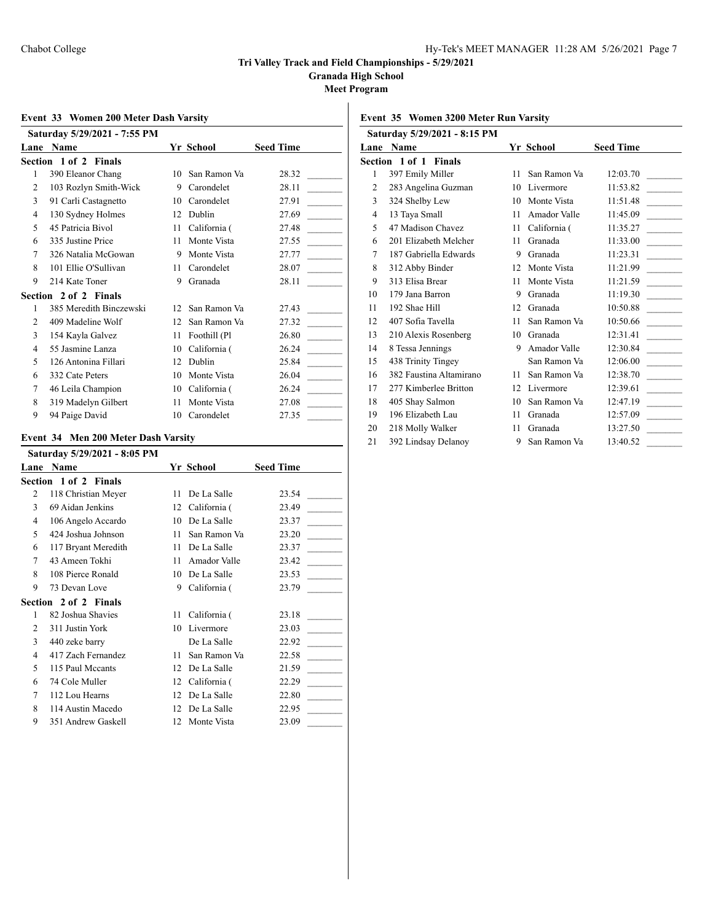**Granada High School**

**Meet Program**

### **Event 33 Women 200 Meter Dash Varsity**

|                | Saturday 5/29/2021 - 7:55 PM |     |              |                  |
|----------------|------------------------------|-----|--------------|------------------|
|                | Lane Name                    |     | Yr School    | <b>Seed Time</b> |
|                | Section 1 of 2 Finals        |     |              |                  |
| 1              | 390 Eleanor Chang            | 10  | San Ramon Va | 28.32            |
| $\overline{c}$ | 103 Rozlyn Smith-Wick        | 9   | Carondelet   | 28.11            |
| 3              | 91 Carli Castagnetto         | 10  | Carondelet   | 27.91            |
| $\overline{4}$ | 130 Sydney Holmes            | 12  | Dublin       | 27.69            |
| 5              | 45 Patricia Bivol            | 11  | California ( | 27.48            |
| 6              | 335 Justine Price            | 11  | Monte Vista  | 27.55            |
| 7              | 326 Natalia McGowan          | 9   | Monte Vista  | 27.77            |
| 8              | 101 Ellie O'Sullivan         | 11  | Carondelet   | 28.07            |
| 9              | 214 Kate Toner               | 9   | Granada      | 28.11            |
|                | Section 2 of 2 Finals        |     |              |                  |
| 1              | 385 Meredith Binczewski      | 12  | San Ramon Va | 27.43            |
| $\overline{c}$ | 409 Madeline Wolf            | 12. | San Ramon Va | 27.32            |
| 3              | 154 Kayla Galvez             | 11  | Foothill (Pl | 26.80            |
| $\overline{4}$ | 55 Jasmine Lanza             | 10  | California ( | 26.24            |
| 5              | 126 Antonina Fillari         | 12  | Dublin       | 25.84            |
| 6              | 332 Cate Peters              | 10  | Monte Vista  | 26.04            |
| 7              | 46 Leila Champion            | 10  | California ( | 26.24            |
| 8              | 319 Madelyn Gilbert          | 11  | Monte Vista  | 27.08            |
| 9              | 94 Paige David               | 10  | Carondelet   | 27.35            |

#### **Event 34 Men 200 Meter Dash Varsity**

|      | Saturday 5/29/2021 - 8:05 PM |    |              |                  |
|------|------------------------------|----|--------------|------------------|
| Lane | Name                         |    | Yr School    | <b>Seed Time</b> |
|      | <b>Section 1 of 2 Finals</b> |    |              |                  |
| 2    | 118 Christian Meyer          | 11 | De La Salle  | 23.54            |
| 3    | 69 Aidan Jenkins             | 12 | California ( | 23.49            |
| 4    | 106 Angelo Accardo           | 10 | De La Salle  | 23.37            |
| 5    | 424 Joshua Johnson           | 11 | San Ramon Va | 23.20            |
| 6    | 117 Bryant Meredith          | 11 | De La Salle  | 23.37            |
| 7    | 43 Ameen Tokhi               | 11 | Amador Valle | 23.42            |
| 8    | 108 Pierce Ronald            | 10 | De La Salle  | 23.53            |
| 9    | 73 Devan Love                | 9  | California ( | 23.79            |
|      | <b>Section 2 of 2 Finals</b> |    |              |                  |
| 1    | 82 Joshua Shavies            | 11 | California ( | 23.18            |
| 2    | 311 Justin York              | 10 | Livermore    | 23.03            |
| 3    | 440 zeke barry               |    | De La Salle  | 22.92            |
| 4    | 417 Zach Fernandez           | 11 | San Ramon Va | 22.58            |
| 5    | 115 Paul Mccants             | 12 | De La Salle  | 21.59            |
| 6    | 74 Cole Muller               | 12 | California ( | 22.29            |
| 7    | 112 Lou Hearns               | 12 | De La Salle  | 22.80            |
| 8    | 114 Austin Macedo            | 12 | De La Salle  | 22.95            |
| 9    | 351 Andrew Gaskell           | 12 | Monte Vista  | 23.09            |

# **Event 35 Women 3200 Meter Run Varsity**

|                | Saturday 5/29/2021 - 8:15 PM |    |              |                  |
|----------------|------------------------------|----|--------------|------------------|
| Lane           | <b>Name</b>                  |    | Yr School    | <b>Seed Time</b> |
|                | Section 1 of 1 Finals        |    |              |                  |
| 1              | 397 Emily Miller             | 11 | San Ramon Va | 12:03.70         |
| $\overline{c}$ | 283 Angelina Guzman          | 10 | Livermore    | 11:53.82         |
| 3              | 324 Shelby Lew               | 10 | Monte Vista  | 11:51.48         |
| 4              | 13 Taya Small                | 11 | Amador Valle | 11:45.09         |
| 5              | 47 Madison Chavez            | 11 | California ( | 11:35.27         |
| 6              | 201 Elizabeth Melcher        | 11 | Granada      | 11:33.00         |
| 7              | 187 Gabriella Edwards        | 9  | Granada      | 11:23.31         |
| 8              | 312 Abby Binder              | 12 | Monte Vista  | 11:21.99         |
| 9              | 313 Elisa Brear              | 11 | Monte Vista  | 11:21.59         |
| 10             | 179 Jana Barron              | 9  | Granada      | 11:19.30         |
| 11             | 192 Shae Hill                | 12 | Granada      | 10:50.88         |
| 12             | 407 Sofia Tavella            | 11 | San Ramon Va | 10:50.66         |
| 13             | 210 Alexis Rosenberg         | 10 | Granada      | 12:31.41         |
| 14             | 8 Tessa Jennings             | 9  | Amador Valle | 12:30.84         |
| 15             | 438 Trinity Tingey           |    | San Ramon Va | 12:06.00         |
| 16             | 382 Faustina Altamirano      | 11 | San Ramon Va | 12:38.70         |
| 17             | 277 Kimberlee Britton        | 12 | Livermore    | 12:39.61         |
| 18             | 405 Shay Salmon              | 10 | San Ramon Va | 12:47.19         |
| 19             | 196 Elizabeth Lau            | 11 | Granada      | 12:57.09         |
| 20             | 218 Molly Walker             | 11 | Granada      | 13:27.50         |
| 21             | 392 Lindsay Delanoy          | 9  | San Ramon Va | 13:40.52         |
|                |                              |    |              |                  |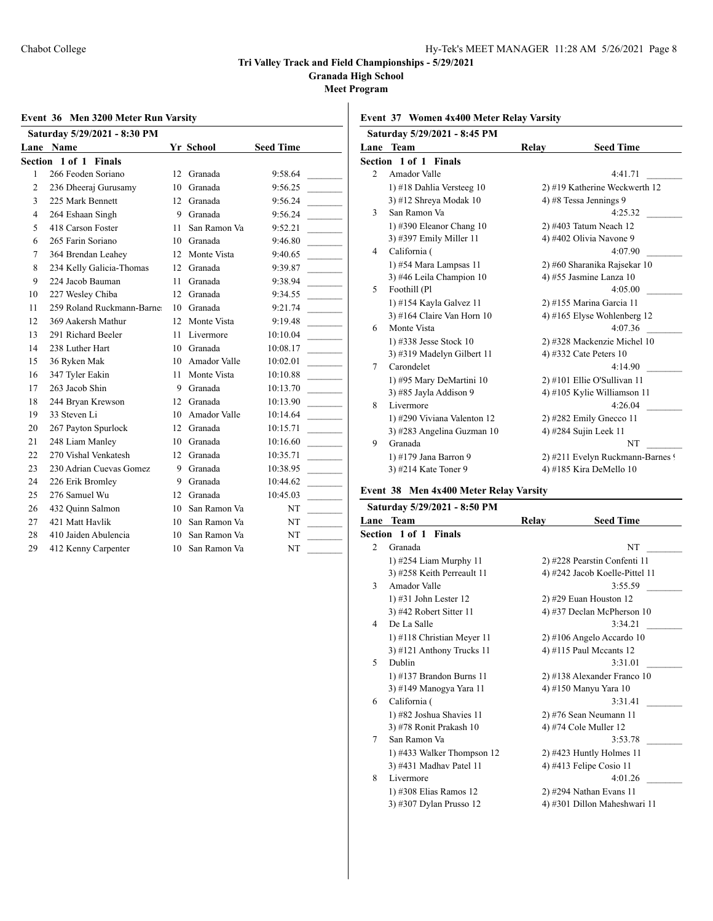**Granada High School**

**Meet Program**

### **Event 36 Men 3200 Meter Run Varsity**

| Saturday 5/29/2021 - 8:30 PM |                           |     |              |                  |  |
|------------------------------|---------------------------|-----|--------------|------------------|--|
|                              | Lane Name                 |     | Yr School    | <b>Seed Time</b> |  |
|                              | Section 1 of 1 Finals     |     |              |                  |  |
| 1                            | 266 Feoden Soriano        | 12  | Granada      | 9:58.64          |  |
| $\overline{2}$               | 236 Dheeraj Gurusamy      | 10  | Granada      | 9:56.25          |  |
| 3                            | 225 Mark Bennett          | 12  | Granada      | 9:56.24          |  |
| 4                            | 264 Eshaan Singh          | 9   | Granada      | 9:56.24          |  |
| 5                            | 418 Carson Foster         | 11  | San Ramon Va | 9:52.21          |  |
| 6                            | 265 Farin Soriano         | 10  | Granada      | 9:46.80          |  |
| 7                            | 364 Brendan Leahey        | 12  | Monte Vista  | 9:40.65          |  |
| 8                            | 234 Kelly Galicia-Thomas  | 12  | Granada      | 9:39.87          |  |
| 9                            | 224 Jacob Bauman          | 11  | Granada      | 9:38.94          |  |
| 10                           | 227 Wesley Chiba          | 12. | Granada      | 9:34.55          |  |
| 11                           | 259 Roland Ruckmann-Barne | 10  | Granada      | 9:21.74          |  |
| 12                           | 369 Aakersh Mathur        | 12  | Monte Vista  | 9:19.48          |  |
| 13                           | 291 Richard Beeler        | 11  | Livermore    | 10:10.04         |  |
| 14                           | 238 Luther Hart           | 10  | Granada      | 10:08.17         |  |
| 15                           | 36 Ryken Mak              | 10  | Amador Valle | 10:02.01         |  |
| 16                           | 347 Tyler Eakin           | 11  | Monte Vista  | 10:10.88         |  |
| 17                           | 263 Jacob Shin            | 9   | Granada      | 10:13.70         |  |
| 18                           | 244 Bryan Krewson         | 12  | Granada      | 10:13.90         |  |
| 19                           | 33 Steven Li              | 10  | Amador Valle | 10:14.64         |  |
| 20                           | 267 Payton Spurlock       | 12  | Granada      | 10:15.71         |  |
| 21                           | 248 Liam Manley           | 10  | Granada      | 10:16.60         |  |
| 22                           | 270 Vishal Venkatesh      | 12  | Granada      | 10:35.71         |  |
| 23                           | 230 Adrian Cuevas Gomez   | 9   | Granada      | 10:38.95         |  |
| 24                           | 226 Erik Bromley          | 9   | Granada      | 10:44.62         |  |
| 25                           | 276 Samuel Wu             | 12  | Granada      | 10:45.03         |  |
| 26                           | 432 Quinn Salmon          | 10  | San Ramon Va | NT               |  |
| 27                           | 421 Matt Havlik           | 10  | San Ramon Va | NT               |  |
| 28                           | 410 Jaiden Abulencia      | 10  | San Ramon Va | NT               |  |
| 29                           | 412 Kenny Carpenter       | 10  | San Ramon Va | NT               |  |

### **Event 37 Women 4x400 Meter Relay Varsity**

|                | Saturday 5/29/2021 - 8:45 PM |       |                                  |
|----------------|------------------------------|-------|----------------------------------|
|                | Lane Team                    | Relay | <b>Seed Time</b>                 |
|                | Section 1 of 1 Finals        |       |                                  |
| $\mathfrak{D}$ | Amador Valle                 |       | 4:41.71                          |
|                | 1) #18 Dahlia Versteeg 10    |       | 2) #19 Katherine Weckwerth 12    |
|                | 3) #12 Shreya Modak 10       |       | 4) #8 Tessa Jennings 9           |
| 3              | San Ramon Va                 |       | 4:25.32                          |
|                | 1) #390 Eleanor Chang $10$   |       | 2) #403 Tatum Neach 12           |
|                | 3) #397 Emily Miller 11      |       | 4) #402 Olivia Navone 9          |
| 4              | California (                 |       | 4:07.90                          |
|                | 1) #54 Mara Lampsas 11       |       | 2) #60 Sharanika Rajsekar 10     |
|                | 3) #46 Leila Champion 10     |       | 4) #55 Jasmine Lanza 10          |
| 5              | Foothill (Pl                 |       | 4:05.00                          |
|                | 1) #154 Kayla Galvez 11      |       | 2) #155 Marina Garcia 11         |
|                | 3) #164 Claire Van Horn 10   |       | 4) #165 Elyse Wohlenberg $12$    |
| 6              | Monte Vista                  |       | 4:07.36                          |
|                | 1) #338 Jesse Stock 10       |       | 2) #328 Mackenzie Michel 10      |
|                | 3) #319 Madelyn Gilbert 11   |       | 4) #332 Cate Peters 10           |
| 7              | Carondelet                   |       | 4:14.90                          |
|                | 1) #95 Mary DeMartini 10     |       | $2)$ #101 Ellie O'Sullivan 11    |
|                | 3) #85 Jayla Addison 9       |       | 4) #105 Kylie Williamson 11      |
| 8              | Livermore                    |       | 4:26.04                          |
|                | 1) #290 Viviana Valenton 12  |       | $2)$ #282 Emily Gnecco 11        |
|                | 3) #283 Angelina Guzman 10   |       | 4) #284 Sujin Leek 11            |
| 9              | Granada                      |       | <b>NT</b>                        |
|                | 1) #179 Jana Barron 9        |       | 2) #211 Evelyn Ruckmann-Barnes 9 |
|                | 3) #214 Kate Toner 9         |       | 4) #185 Kira DeMello 10          |

#### **Event 38 Men 4x400 Meter Relay Varsity**

| Saturday 5/29/2021 - 8:50 PM |       |                                |
|------------------------------|-------|--------------------------------|
| <b>Team</b><br>Lane          | Relay | <b>Seed Time</b>               |
| Section 1 of 1 Finals        |       |                                |
| Granada                      |       | NT                             |
| $1)$ #254 Liam Murphy 11     |       | 2) #228 Pearstin Confenti 11   |
| 3) #258 Keith Perreault 11   |       | 4) #242 Jacob Koelle-Pittel 11 |
| Amador Valle                 |       | 3:55.59                        |
| 1) #31 John Lester 12        |       | $2)$ #29 Euan Houston 12       |
| 3) #42 Robert Sitter 11      |       | 4) #37 Declan McPherson 10     |
| De La Salle                  |       | 3:34.21                        |
| 1) #118 Christian Meyer 11   |       | $2)$ #106 Angelo Accardo 10    |
| $3)$ #121 Anthony Trucks 11  |       | 4) #115 Paul Mccants $12$      |
| Dublin                       |       | 3:31.01                        |
| 1) #137 Brandon Burns 11     |       | 2) #138 Alexander Franco 10    |
| 3) #149 Manogya Yara 11      |       | 4) #150 Manyu Yara 10          |
| California (                 |       | 3:31.41                        |
| 1) #82 Joshua Shavies 11     |       | 2) #76 Sean Neumann 11         |
| 3) #78 Ronit Prakash 10      |       | 4) #74 Cole Muller 12          |
| San Ramon Va                 |       | 3:53.78                        |
| 1) #433 Walker Thompson 12   |       | $2)$ #423 Huntly Holmes 11     |
| 3) #431 Madhav Patel 11      |       | 4) #413 Felipe Cosio 11        |
| Livermore                    |       | 4:01.26                        |
| 1) #308 Elias Ramos 12       |       | 2) #294 Nathan Evans 11        |
| 3) #307 Dylan Prusso 12      |       | 4) #301 Dillon Maheshwari 11   |
|                              |       |                                |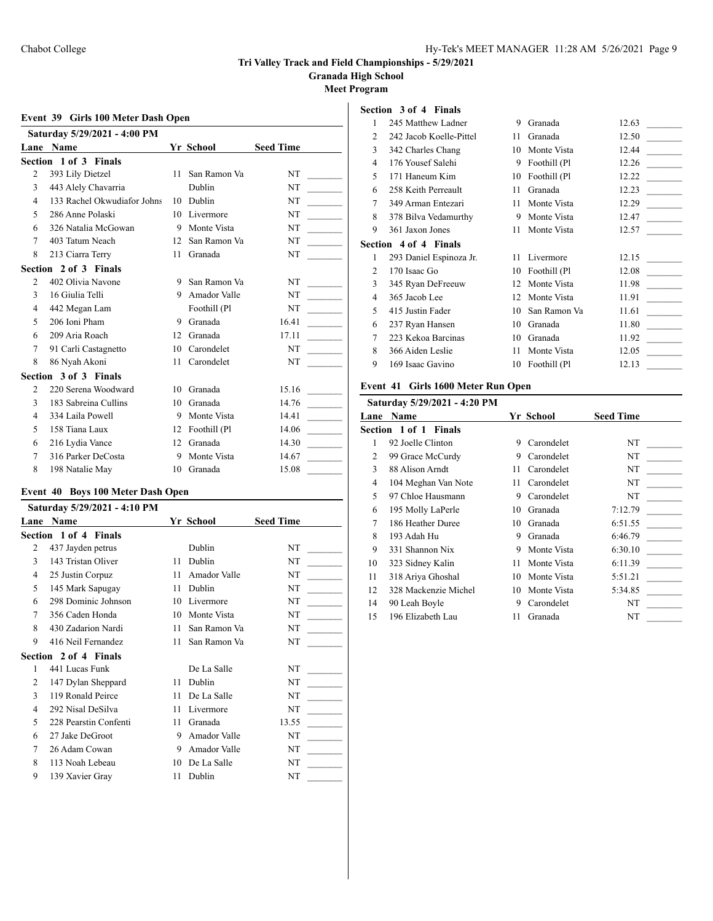**Granada High School**

**Meet Program**

### **Event 39 Girls 100 Meter Dash Open**

|                          | Saturday 5/29/2021 - 4:00 PM |    |              |                  |
|--------------------------|------------------------------|----|--------------|------------------|
|                          | Lane Name                    |    | Yr School    | <b>Seed Time</b> |
|                          | Section 1 of 3 Finals        |    |              |                  |
| 2                        | 393 Lily Dietzel             | 11 | San Ramon Va | NT               |
| 3                        | 443 Alely Chavarria          |    | Dublin       | NT               |
| 4                        | 133 Rachel Okwudiafor Johns  | 10 | Dublin       | NT               |
| 5                        | 286 Anne Polaski             | 10 | Livermore    | NT               |
| 6                        | 326 Natalia McGowan          | 9  | Monte Vista  | NT               |
| 7                        | 403 Tatum Neach              | 12 | San Ramon Va | NT               |
| 8                        | 213 Ciarra Terry             | 11 | Granada      | NT               |
|                          | Section 2 of 3 Finals        |    |              |                  |
| $\overline{c}$           | 402 Olivia Navone            | 9  | San Ramon Va | NT               |
| 3                        | 16 Giulia Telli              | 9  | Amador Valle | <b>NT</b>        |
| 4                        | 442 Megan Lam                |    | Foothill (Pl | <b>NT</b>        |
| $\overline{\phantom{1}}$ | 206 Ioni Pham                | 9  | Granada      | 16.41            |
| 6                        | 209 Aria Roach               | 12 | Granada      | 17.11            |
| 7                        | 91 Carli Castagnetto         | 10 | Carondelet   | <b>NT</b>        |
| 8                        | 86 Nyah Akoni                | 11 | Carondelet   | NT               |
|                          | Section 3 of 3 Finals        |    |              |                  |
| 2                        | 220 Serena Woodward          | 10 | Granada      | 15.16            |
| 3                        | 183 Sabreina Cullins         | 10 | Granada      | 14.76            |
| $\overline{4}$           | 334 Laila Powell             | 9  | Monte Vista  | 14.41            |
| 5                        | 158 Tiana Laux               | 12 | Foothill (Pl | 14.06            |
| 6                        | 216 Lydia Vance              | 12 | Granada      | 14.30            |
| 7                        | 316 Parker DeCosta           | 9  | Monte Vista  | 14.67            |
| 8                        | 198 Natalie May              | 10 | Granada      | 15.08            |

# **Event 40 Boys 100 Meter Dash Open**

|      | Saturday 5/29/2021 - 4:10 PM |    |              |                  |
|------|------------------------------|----|--------------|------------------|
| Lane | <b>Name</b>                  |    | Yr School    | <b>Seed Time</b> |
|      | Section 1 of 4 Finals        |    |              |                  |
| 2    | 437 Jayden petrus            |    | Dublin       | NT               |
| 3    | 143 Tristan Oliver           | 11 | Dublin       | NT               |
| 4    | 25 Justin Corpuz             | 11 | Amador Valle | NT               |
| 5    | 145 Mark Sapugay             | 11 | Dublin       | NT               |
| 6    | 298 Dominic Johnson          | 10 | Livermore    | NT               |
| 7    | 356 Caden Honda              | 10 | Monte Vista  | NT               |
| 8    | 430 Zadarion Nardi           | 11 | San Ramon Va | NT               |
| 9    | 416 Neil Fernandez           | 11 | San Ramon Va | NT               |
|      | <b>Section 2 of 4 Finals</b> |    |              |                  |
| 1    | 441 Lucas Funk               |    | De La Salle  | NT               |
| 2    | 147 Dylan Sheppard           | 11 | Dublin       | NT               |
| 3    | 119 Ronald Peirce            | 11 | De La Salle  | <b>NT</b>        |
| 4    | 292 Nisal DeSilva            | 11 | Livermore    | <b>NT</b>        |
| 5    | 228 Pearstin Confenti        | 11 | Granada      | 13.55            |
| 6    | 27 Jake DeGroot              | 9  | Amador Valle | NT               |
| 7    | 26 Adam Cowan                | 9  | Amador Valle | NT               |
| 8    | 113 Noah Lebeau              | 10 | De La Salle  | NT               |
| 9    | 139 Xavier Gray              | 11 | Dublin       | NT               |
|      |                              |    |              |                  |

### **Section 3 of 4 Finals**

| 1 | 245 Matthew Ladner           | 9  | Granada      | 12.63 |
|---|------------------------------|----|--------------|-------|
| 2 | 242 Jacob Koelle-Pittel      | 11 | Granada      | 12.50 |
| 3 | 342 Charles Chang            | 10 | Monte Vista  | 12.44 |
| 4 | 176 Yousef Salehi            | 9  | Foothill (Pl | 12.26 |
| 5 | 171 Haneum Kim               | 10 | Foothill (Pl | 12.22 |
| 6 | 258 Keith Perreault          | 11 | Granada      | 12.23 |
| 7 | 349 Arman Entezari           | 11 | Monte Vista  | 12.29 |
| 8 | 378 Bilva Vedamurthy         | 9  | Monte Vista  | 12.47 |
| 9 | 361 Jaxon Jones              | 11 | Monte Vista  | 12.57 |
|   | <b>Section 4 of 4 Finals</b> |    |              |       |
| 1 | 293 Daniel Espinoza Jr.      | 11 | Livermore    | 12.15 |
| 2 | 170 Isaac Go                 | 10 | Foothill (Pl | 12.08 |
| 3 | 345 Ryan DeFreeuw            | 12 | Monte Vista  | 11.98 |
| 4 | 365 Jacob Lee                | 12 | Monte Vista  | 11.91 |
| 5 | 415 Justin Fader             | 10 | San Ramon Va | 11.61 |
| 6 | 237 Ryan Hansen              | 10 | Granada      | 11.80 |
| 7 | 223 Kekoa Barcinas           | 10 | Granada      | 11.92 |
| 8 | 366 Aiden Leslie             | 11 | Monte Vista  | 12.05 |
| 9 | 169 Isaac Gavino             | 10 | Foothill (Pl | 12.13 |
|   |                              |    |              |       |

### **Event 41 Girls 1600 Meter Run Open**

|      | Saturday 5/29/2021 - 4:20 PM |    |             |                  |
|------|------------------------------|----|-------------|------------------|
| Lane | <b>Name</b>                  |    | Yr School   | <b>Seed Time</b> |
|      | Section 1 of 1 Finals        |    |             |                  |
| 1    | 92 Joelle Clinton            | 9  | Carondelet  | NT               |
| 2    | 99 Grace McCurdy             | 9  | Carondelet  | NT               |
| 3    | 88 Alison Arndt              | 11 | Carondelet  | NT               |
| 4    | 104 Meghan Van Note          | 11 | Carondelet  | NT               |
| 5    | 97 Chloe Hausmann            | 9  | Carondelet  | NT               |
| 6    | 195 Molly LaPerle            | 10 | Granada     | 7:12.79          |
| 7    | 186 Heather Duree            | 10 | Granada     | 6:51.55          |
| 8    | 193 Adah Hu                  | 9  | Granada     | 6:46.79          |
| 9    | 331 Shannon Nix              | 9  | Monte Vista | 6:30.10          |
| 10   | 323 Sidney Kalin             | 11 | Monte Vista | 6:11.39          |
| 11   | 318 Ariya Ghoshal            | 10 | Monte Vista | 5:51.21          |
| 12   | 328 Mackenzie Michel         | 10 | Monte Vista | 5:34.85          |
| 14   | 90 Leah Boyle                | 9  | Carondelet  | NT               |
| 15   | 196 Elizabeth Lau            | 11 | Granada     | NT               |
|      |                              |    |             |                  |